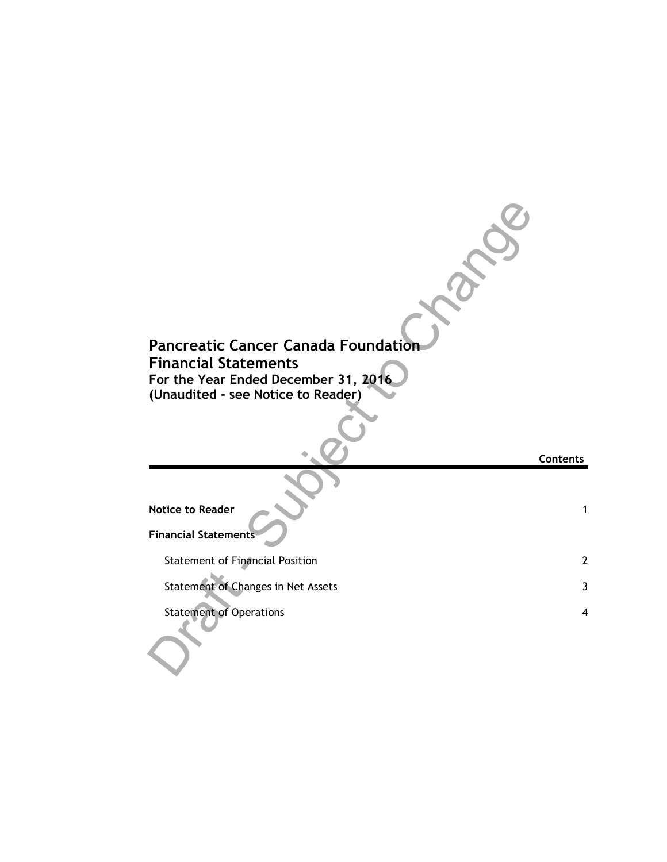| <b>Pancreatic Cancer Canada Foundation</b><br><b>Financial Statements</b><br>For the Year Ended December 31, 2016<br>(Unaudited - see Notice to Reader) |                 |
|---------------------------------------------------------------------------------------------------------------------------------------------------------|-----------------|
|                                                                                                                                                         | <b>Contents</b> |
|                                                                                                                                                         |                 |
| <b>Notice to Reader</b>                                                                                                                                 | $\mathbf{1}$    |
| <b>Financial Statements</b>                                                                                                                             |                 |
| <b>Statement of Financial Position</b>                                                                                                                  | $\overline{2}$  |
| Statement of Changes in Net Assets                                                                                                                      | 3               |
| <b>Statement of Operations</b>                                                                                                                          | $\overline{4}$  |
|                                                                                                                                                         |                 |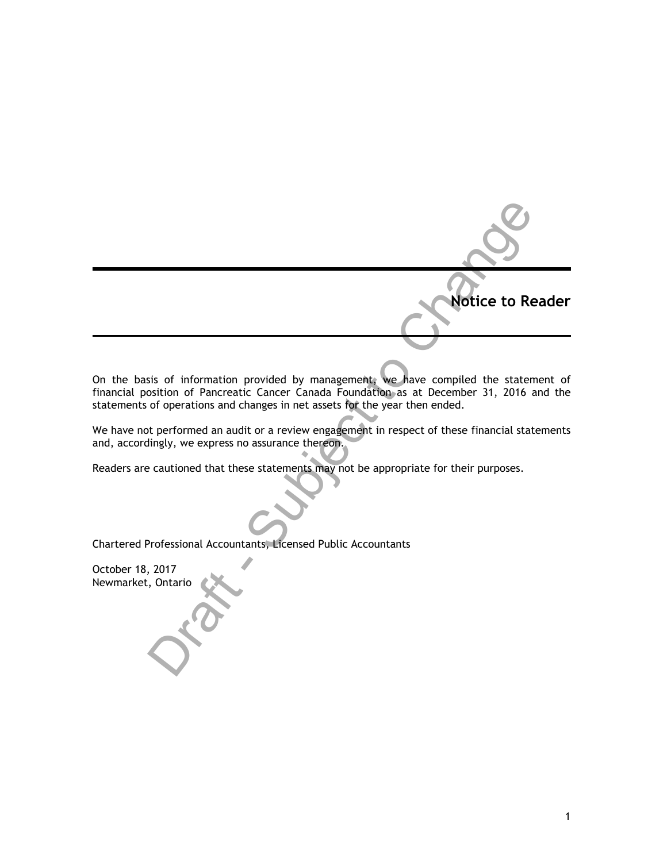Notice to Reader<br>
Sistis of information provided by managements we have compiled the statement of<br>
of operations and changes in net assets for the year then ended.<br>
thereformed an audit or a review engagement in respect of On the basis of information provided by management, we have compiled the statement of financial position of Pancreatic Cancer Canada Foundation as at December 31, 2016 and the statements of operations and changes in net assets for the year then ended.

We have not performed an audit or a review engagement in respect of these financial statements and, accordingly, we express no assurance thereon.

Readers are cautioned that these statements may not be appropriate for their purposes.

Chartered Professional Accountants, Licensed Public Accountants

October 18, 2017 Newmarket, Ontario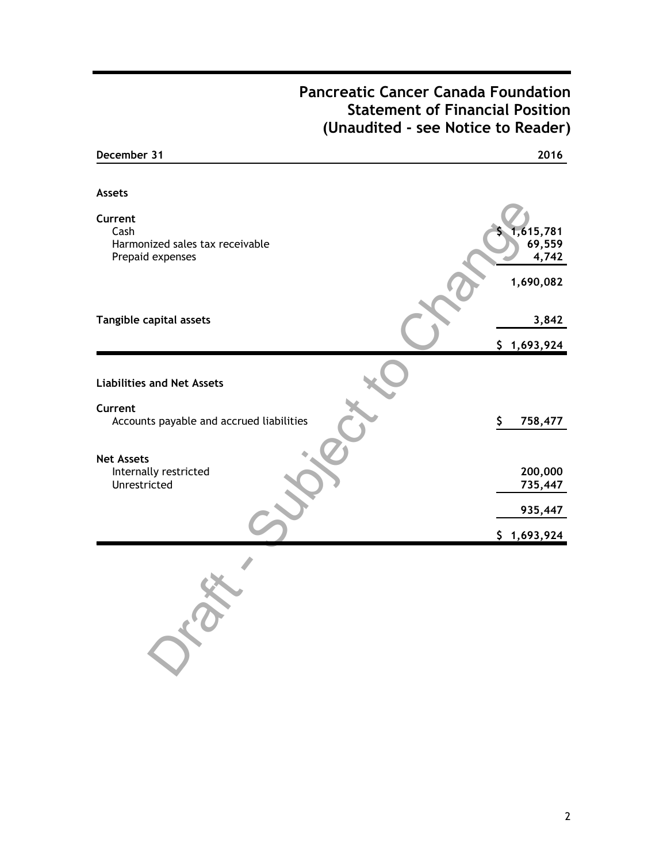## **Pancreatic Cancer Canada Foundation Statement of Financial Position (Unaudited - see Notice to Reader)**

| December 31                                        | 2016                |
|----------------------------------------------------|---------------------|
|                                                    |                     |
| <b>Assets</b>                                      |                     |
| Current<br>Cash<br>Harmonized sales tax receivable | 1,615,781<br>69,559 |
| Prepaid expenses                                   | 4,742               |
|                                                    | 1,690,082           |
| Tangible capital assets                            | 3,842               |
|                                                    | \$1,693,924         |
|                                                    |                     |
| <b>Liabilities and Net Assets</b>                  |                     |
| Current                                            |                     |
| Accounts payable and accrued liabilities           | \$<br>758,477       |
| <b>Net Assets</b>                                  |                     |
| Internally restricted                              | 200,000             |
| Unrestricted                                       | 735,447             |
|                                                    | 935,447             |
|                                                    | \$1,693,924         |
|                                                    |                     |
|                                                    |                     |
|                                                    |                     |
|                                                    |                     |
|                                                    |                     |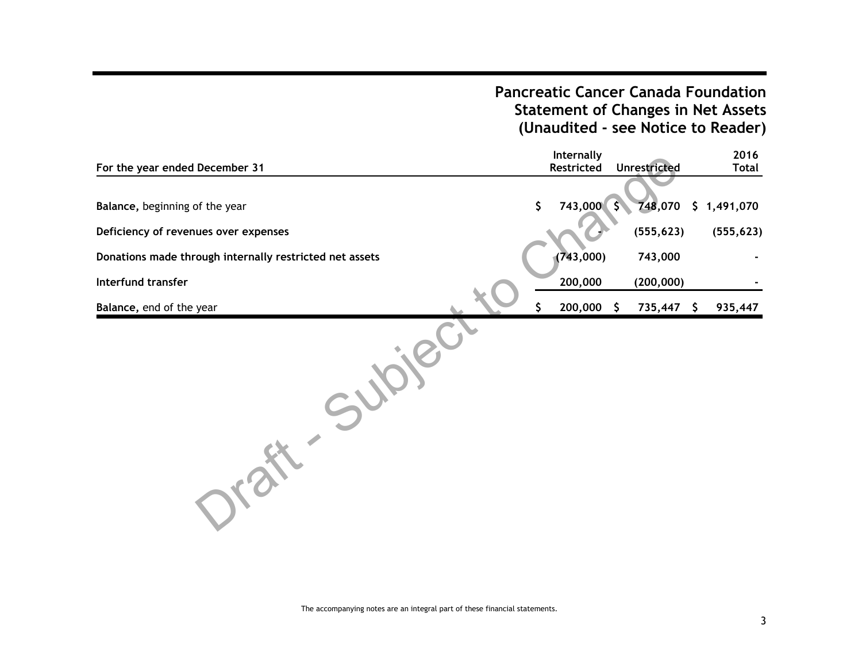## **Pancreatic Cancer Canada Foundation Statement of Changes in Net Assets (Unaudited - see Notice to Reader)**

| For the year ended December 31                          | Internally<br>Restricted | <b>Unrestricted</b> | 2016<br><b>Total</b> |
|---------------------------------------------------------|--------------------------|---------------------|----------------------|
|                                                         |                          |                     |                      |
| Balance, beginning of the year                          | \$<br>743,000 \$         |                     | 748,070 \$ 1,491,070 |
| Deficiency of revenues over expenses                    |                          | (555, 623)          | (555, 623)           |
| Donations made through internally restricted net assets | (743,000)                | 743,000             |                      |
| Interfund transfer                                      | 200,000                  | (200, 000)          |                      |
| Balance, end of the year                                | 200,000                  | 735,447 \$<br>S.    | 935,447              |
|                                                         |                          |                     |                      |